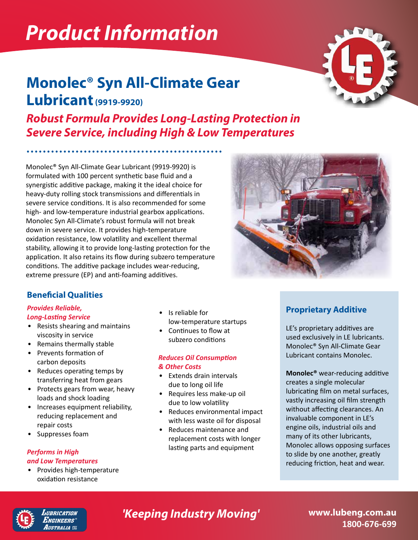# *Product Information*

# **Monolec® Syn All-Climate Gear Lubricant (9919-9920)**

*Robust Formula Provides Long-Lasting Protection in Severe Service, including High & Low Temperatures*

Monolec® Syn All-Climate Gear Lubricant (9919-9920) is formulated with 100 percent synthetic base fluid and a synergistic additive package, making it the ideal choice for heavy-duty rolling stock transmissions and differentials in severe service conditions. It is also recommended for some high- and low-temperature industrial gearbox applications. Monolec Syn All-Climate's robust formula will not break down in severe service. It provides high-temperature oxidation resistance, low volatility and excellent thermal stability, allowing it to provide long-lasting protection for the application. It also retains its flow during subzero temperature conditions. The additive package includes wear-reducing, extreme pressure (EP) and anti-foaming additives.

### **Beneficial Qualities**

#### *Provides Reliable, Long-Lasting Service*

- Resists shearing and maintains viscosity in service
- Remains thermally stable
- Prevents formation of carbon deposits
- Reduces operating temps by transferring heat from gears
- Protects gears from wear, heavy loads and shock loading
- Increases equipment reliability, reducing replacement and repair costs
- Suppresses foam

#### *Performs in High and Low Temperatures*

• Provides high-temperature oxidation resistance

- Is reliable for low-temperature startups
- Continues to flow at subzero conditions

#### *Reduces Oil Consumption & Other Costs*

- Extends drain intervals due to long oil life
- Requires less make-up oil due to low volatility
- Reduces environmental impact with less waste oil for disposal
- Reduces maintenance and replacement costs with longer lasting parts and equipment

### **Proprietary Additive**

LE's proprietary additives are used exclusively in LE lubricants. Monolec® Syn All-Climate Gear Lubricant contains Monolec.

**Monolec®** wear-reducing additive creates a single molecular lubricating film on metal surfaces, vastly increasing oil film strength without affecting clearances. An invaluable component in LE's engine oils, industrial oils and many of its other lubricants, Monolec allows opposing surfaces to slide by one another, greatly reducing friction, heat and wear.



UBRICATION .<br>Ngineers' *IUSTRALIA EE* 

## **'Keeping Industry Moving' www.lubeng.com.au**

**1800-676-699**